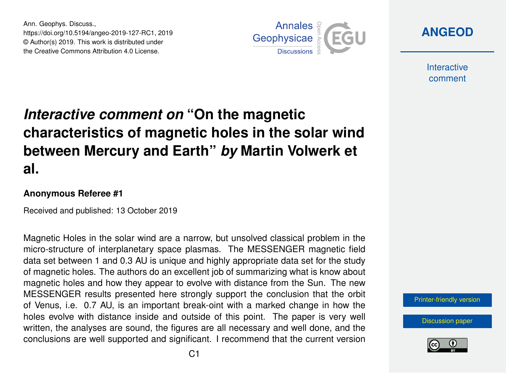Ann. Geophys. Discuss., https://doi.org/10.5194/angeo-2019-127-RC1, 2019 © Author(s) 2019. This work is distributed under the Creative Commons Attribution 4.0 License.



**[ANGEOD](https://www.ann-geophys-discuss.net/)**

**Interactive** comment

## *Interactive comment on* **"On the magnetic characteristics of magnetic holes in the solar wind between Mercury and Earth"** *by* **Martin Volwerk et al.**

## **Anonymous Referee #1**

Received and published: 13 October 2019

Magnetic Holes in the solar wind are a narrow, but unsolved classical problem in the micro-structure of interplanetary space plasmas. The MESSENGER magnetic field data set between 1 and 0.3 AU is unique and highly appropriate data set for the study of magnetic holes. The authors do an excellent job of summarizing what is know about magnetic holes and how they appear to evolve with distance from the Sun. The new MESSENGER results presented here strongly support the conclusion that the orbit of Venus, i.e. 0.7 AU, is an important break-oint with a marked change in how the holes evolve with distance inside and outside of this point. The paper is very well written, the analyses are sound, the figures are all necessary and well done, and the conclusions are well supported and significant. I recommend that the current version

[Printer-friendly version](https://www.ann-geophys-discuss.net/angeo-2019-127/angeo-2019-127-RC1-print.pdf)

[Discussion paper](https://www.ann-geophys-discuss.net/angeo-2019-127)